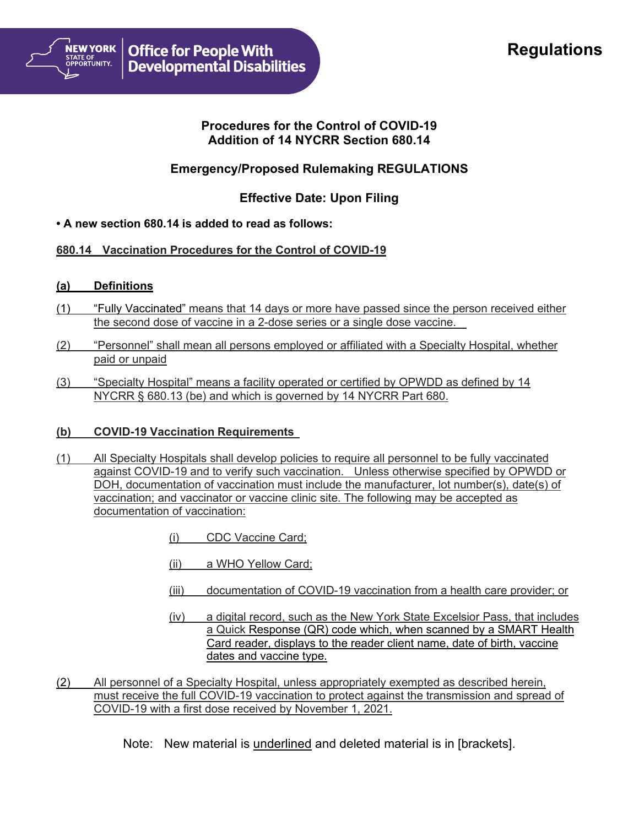

## **Procedures for the Control of COVID-19 Addition of 14 NYCRR Section 680.14**

# **Emergency/Proposed Rulemaking REGULATIONS**

## **Effective Date: Upon Filing**

### **• A new section 680.14 is added to read as follows:**

### **680.14 Vaccination Procedures for the Control of COVID-19**

#### **(a) Definitions**

- (1) "Fully Vaccinated" means that 14 days or more have passed since the person received either the second dose of vaccine in a 2-dose series or a single dose vaccine.
- (2) "Personnel" shall mean all persons employed or affiliated with a Specialty Hospital, whether paid or unpaid
- (3) "Specialty Hospital" means a facility operated or certified by OPWDD as defined by 14 NYCRR § 680.13 (be) and which is governed by 14 NYCRR Part 680.

### **(b) COVID-19 Vaccination Requirements**

- (1) All Specialty Hospitals shall develop policies to require all personnel to be fully vaccinated against COVID-19 and to verify such vaccination. Unless otherwise specified by OPWDD or DOH, documentation of vaccination must include the manufacturer, lot number(s), date(s) of vaccination; and vaccinator or vaccine clinic site. The following may be accepted as documentation of vaccination:
	- (i) CDC Vaccine Card;
	- (ii) a WHO Yellow Card;
	- (iii) documentation of COVID-19 vaccination from a health care provider; or
	- (iv) a digital record, such as the New York State Excelsior Pass, that includes a Quick Response (QR) code which, when scanned by a SMART Health Card reader, displays to the reader client name, date of birth, vaccine dates and vaccine type.
- (2) All personnel of a Specialty Hospital, unless appropriately exempted as described herein, must receive the full COVID-19 vaccination to protect against the transmission and spread of COVID-19 with a first dose received by November 1, 2021.
	- Note: New material is underlined and deleted material is in [brackets].